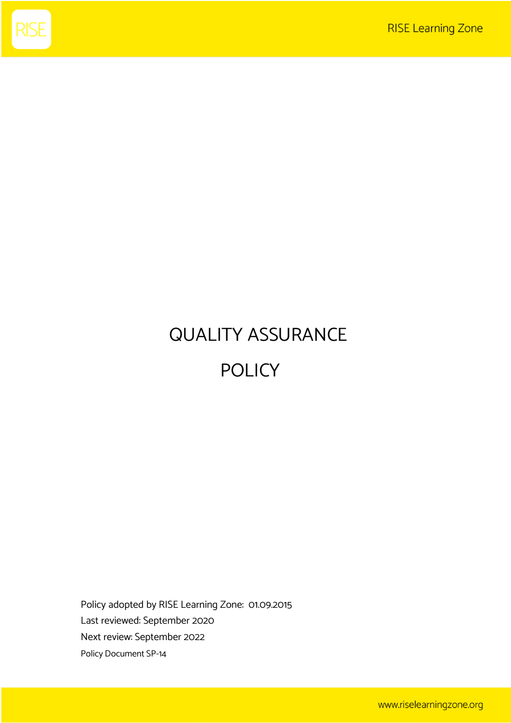

# QUALITY ASSURANCE POLICY

Policy adopted by RISE Learning Zone: 01.09.2015 Last reviewed: September 2020 Next review: September 2022 Policy Document SP-14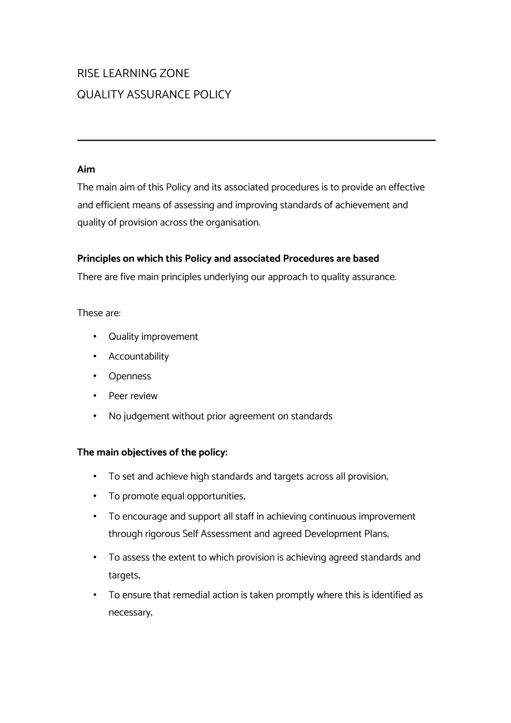## RISE LEARNING ZONE QUALITY ASSURANCE POLICY

#### **Aim**

The main aim of this Policy and its associated procedures is to provide an effective and efficient means of assessing and improving standards of achievement and quality of provision across the organisation.

#### **Principles on which this Policy and associated Procedures are based**

There are five main principles underlying our approach to quality assurance.

#### These are:

- Quality improvement
- Accountability
- Openness
- Peer review
- No judgement without prior agreement on standards

#### **The main objectives of the policy:**

- To set and achieve high standards and targets across all provision;
- To promote equal opportunities;
- To encourage and support all staff in achieving continuous improvement through rigorous Self Assessment and agreed Development Plans;
- To assess the extent to which provision is achieving agreed standards and targets;
- To ensure that remedial action is taken promptly where this is identified as necessary;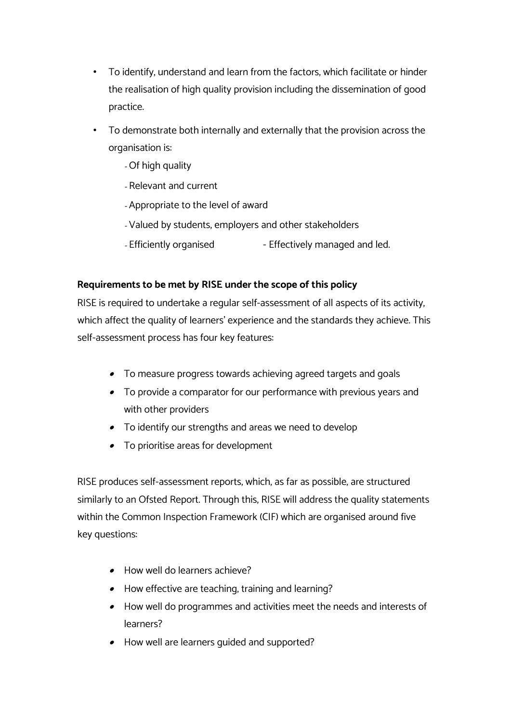- To identify, understand and learn from the factors, which facilitate or hinder the realisation of high quality provision including the dissemination of good practice.
- To demonstrate both internally and externally that the provision across the organisation is:
	- Of high quality
	- Relevant and current
	- Appropriate to the level of award
	- Valued by students, employers and other stakeholders
	- Efficiently organised - Effectively managed and led.

#### **Requirements to be met by RISE under the scope of this policy**

RISE is required to undertake a regular self-assessment of all aspects of its activity, which affect the quality of learners' experience and the standards they achieve. This self-assessment process has four key features:

- To measure progress towards achieving agreed targets and goals
- To provide a comparator for our performance with previous years and with other providers
- To identify our strengths and areas we need to develop
- To prioritise areas for development

RISE produces self-assessment reports, which, as far as possible, are structured similarly to an Ofsted Report. Through this, RISE will address the quality statements within the Common Inspection Framework (CIF) which are organised around five key questions:

- How well do learners achieve?
- How effective are teaching, training and learning?
- How well do programmes and activities meet the needs and interests of learners?
- How well are learners guided and supported?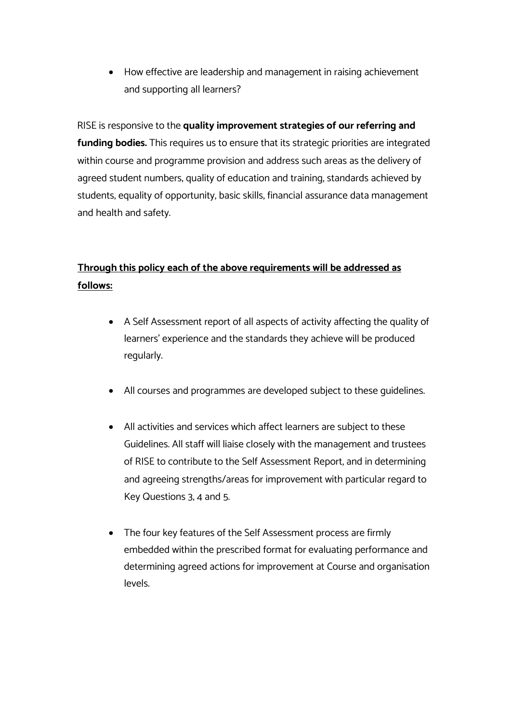• How effective are leadership and management in raising achievement and supporting all learners?

#### RISE is responsive to the **quality improvement strategies of our referring and**

**funding bodies.** This requires us to ensure that its strategic priorities are integrated within course and programme provision and address such areas as the delivery of agreed student numbers, quality of education and training, standards achieved by students, equality of opportunity, basic skills, financial assurance data management and health and safety.

### **Through this policy each of the above requirements will be addressed as follows:**

- A Self Assessment report of all aspects of activity affecting the quality of learners' experience and the standards they achieve will be produced regularly.
- All courses and programmes are developed subject to these guidelines.
- All activities and services which affect learners are subject to these Guidelines. All staff will liaise closely with the management and trustees of RISE to contribute to the Self Assessment Report, and in determining and agreeing strengths/areas for improvement with particular regard to Key Questions 3, 4 and 5.
- The four key features of the Self Assessment process are firmly embedded within the prescribed format for evaluating performance and determining agreed actions for improvement at Course and organisation levels.